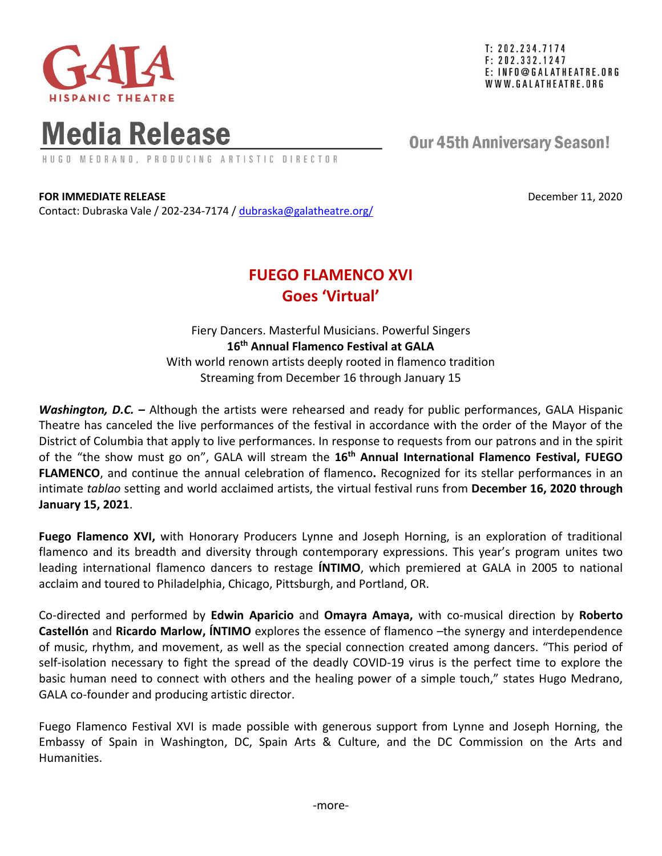

 $T: 202.234.7174$  $F: 202.332.1247$ E: INFO@GALATHEATRE.ORG WWW.GALATHEATRE.ORG

# **Media Release**

HUGO MEDRANO, PRODUCING ARTISTIC DIRECTOR

## **Our 45th Anniversary Season!**

**FOR IMMEDIATE RELEASE December 11, 2020** 

Contact: Dubraska Vale / 202-234-7174 / [dubraska@galatheatre.org/](mailto:dubraska@galatheatre.org/)

## **FUEGO FLAMENCO XVI Goes 'Virtual'**

Fiery Dancers. Masterful Musicians. Powerful Singers **16 th Annual Flamenco Festival at GALA** With world renown artists deeply rooted in flamenco tradition Streaming from December 16 through January 15

*Washington, D.C. –* Although the artists were rehearsed and ready for public performances, GALA Hispanic Theatre has canceled the live performances of the festival in accordance with the order of the Mayor of the District of Columbia that apply to live performances. In response to requests from our patrons and in the spirit of the "the show must go on", GALA will stream the **16th Annual International Flamenco Festival, FUEGO FLAMENCO**, and continue the annual celebration of flamenco**.** Recognized for its stellar performances in an intimate *tablao* setting and world acclaimed artists, the virtual festival runs from **December 16, 2020 through January 15, 2021**.

**Fuego Flamenco XVI,** with Honorary Producers Lynne and Joseph Horning, is an exploration of traditional flamenco and its breadth and diversity through contemporary expressions. This year's program unites two leading international flamenco dancers to restage **ÍNTIMO**, which premiered at GALA in 2005 to national acclaim and toured to Philadelphia, Chicago, Pittsburgh, and Portland, OR.

Co-directed and performed by **Edwin Aparicio** and **Omayra Amaya,** with co-musical direction by **Roberto Castellón** and **Ricardo Marlow, ÍNTIMO** explores the essence of flamenco –the synergy and interdependence of music, rhythm, and movement, as well as the special connection created among dancers. "This period of self-isolation necessary to fight the spread of the deadly COVID-19 virus is the perfect time to explore the basic human need to connect with others and the healing power of a simple touch," states Hugo Medrano, GALA co-founder and producing artistic director.

Fuego Flamenco Festival XVI is made possible with generous support from Lynne and Joseph Horning, the Embassy of Spain in Washington, DC, Spain Arts & Culture, and the DC Commission on the Arts and Humanities.